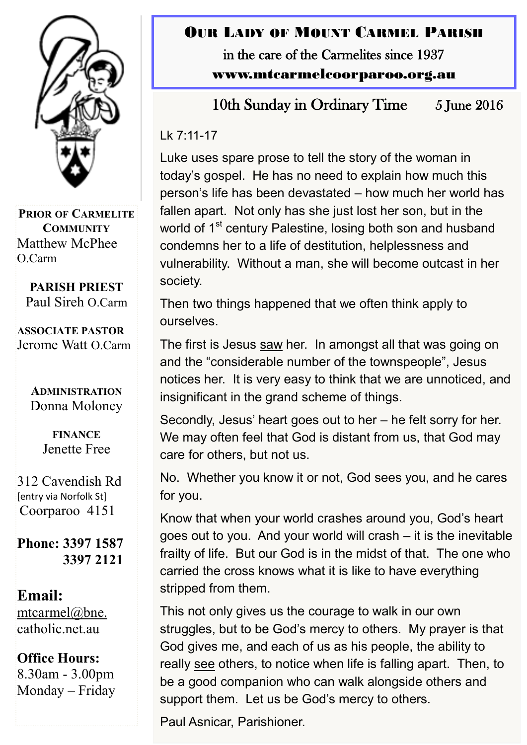

**PRIOR OF CARMELITE COMMUNITY** Matthew McPhee O.Carm

**PARISH PRIEST** Paul Sireh O.Carm

**ASSOCIATE PASTOR** Jerome Watt O.Carm

> **ADMINISTRATION** Donna Moloney

> > **FINANCE**  Jenette Free

312 Cavendish Rd [entry via Norfolk St] Coorparoo 4151

**Phone: 3397 1587 3397 2121**

**Email:** [mtcarmel@bne.](mailto:mtcarmel@bne.catholic.net.au)  [catholic.net.au](mailto:mtcarmel@bne.catholic.net.au)

**Office Hours:**  8.30am - 3.00pm Monday – Friday

### OUR LADY OF MOUNT CARMEL PARISH in the care of the Carmelites since 1937

www.mtcarmelcoorparoo.org.au

10th Sunday in Ordinary Time 5 June 2016

Lk 7:11-17

Luke uses spare prose to tell the story of the woman in today's gospel. He has no need to explain how much this person's life has been devastated – how much her world has fallen apart. Not only has she just lost her son, but in the world of 1<sup>st</sup> century Palestine, losing both son and husband condemns her to a life of destitution, helplessness and vulnerability. Without a man, she will become outcast in her society.

Then two things happened that we often think apply to ourselves.

The first is Jesus saw her. In amongst all that was going on and the "considerable number of the townspeople", Jesus notices her. It is very easy to think that we are unnoticed, and insignificant in the grand scheme of things.

Secondly, Jesus' heart goes out to her – he felt sorry for her. We may often feel that God is distant from us, that God may care for others, but not us.

No. Whether you know it or not, God sees you, and he cares for you.

Know that when your world crashes around you, God's heart goes out to you. And your world will crash – it is the inevitable frailty of life. But our God is in the midst of that. The one who carried the cross knows what it is like to have everything stripped from them.

This not only gives us the courage to walk in our own struggles, but to be God's mercy to others. My prayer is that God gives me, and each of us as his people, the ability to really see others, to notice when life is falling apart. Then, to be a good companion who can walk alongside others and support them. Let us be God's mercy to others.

Paul Asnicar, Parishioner.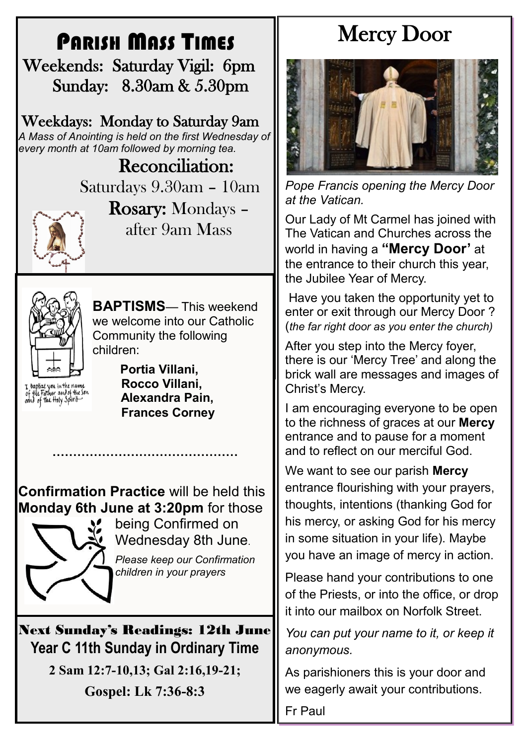## PARISH MASS TIMES

 Weekends: Saturday Vigil: 6pm Sunday: 8.30am & 5.30pm

Weekdays: Monday to Saturday 9am *A Mass of Anointing is held on the first Wednesday of every month at 10am followed by morning tea.*

> Reconciliation: Saturdays 9.30am – 10am



Rosary: Mondays – after 9am Mass



**BAPTISMS**— This weekend we welcome into our Catholic Community the following children:

I baptize you in the name<br>of the Father and of the son<br>oond of the floly Spirit

 **Portia Villani, Rocco Villani, Alexandra Pain, Frances Corney**

**Confirmation Practice** will be held this **Monday 6th June at 3:20pm** for those

**………………………………………**



being Confirmed on Wednesday 8th June.

*Please keep our Confirmation children in your prayers*

Next Sunday's Readings: 12th June **Year C 11th Sunday in Ordinary Time**

**2 Sam 12:7-10,13; Gal 2:16,19-21;**

**Gospel: Lk 7:36-8:3**

# Mercy Door



*Pope Francis opening the Mercy Door at the Vatican.*

Our Lady of Mt Carmel has joined with The Vatican and Churches across the world in having a **"Mercy Door'** at the entrance to their church this year, the Jubilee Year of Mercy.

Have you taken the opportunity yet to enter or exit through our Mercy Door ? (*the far right door as you enter the church)*

After you step into the Mercy foyer, there is our 'Mercy Tree' and along the brick wall are messages and images of Christ's Mercy.

I am encouraging everyone to be open to the richness of graces at our **Mercy**  entrance and to pause for a moment and to reflect on our merciful God.

We want to see our parish **Mercy**  entrance flourishing with your prayers, thoughts, intentions (thanking God for his mercy, or asking God for his mercy in some situation in your life). Maybe you have an image of mercy in action.

Please hand your contributions to one of the Priests, or into the office, or drop it into our mailbox on Norfolk Street.

*You can put your name to it, or keep it anonymous.*

As parishioners this is your door and we eagerly await your contributions.

Fr Paul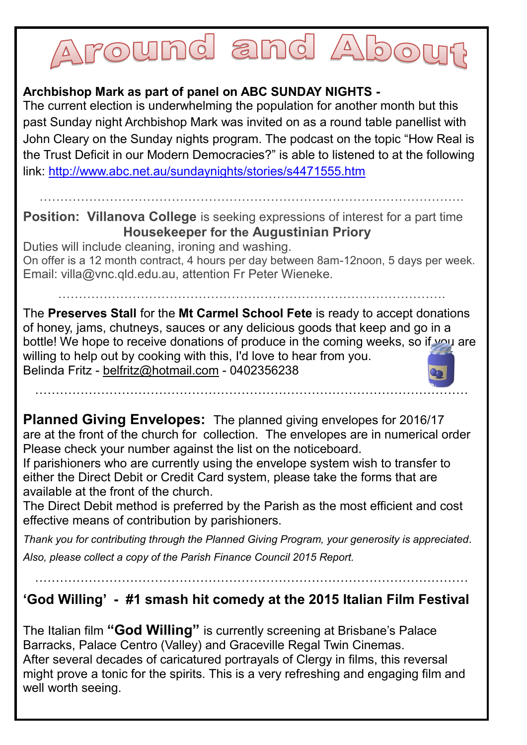# round and Abe

#### **Archbishop Mark as part of panel on ABC SUNDAY NIGHTS -**

The current election is underwhelming the population for another month but this past Sunday night Archbishop Mark was invited on as a round table panellist with John Cleary on the Sunday nights program. The podcast on the topic "How Real is the Trust Deficit in our Modern Democracies?" is able to listened to at the following link: <http://www.abc.net.au/sundaynights/stories/s4471555.htm>

………………………………………………………………………………………….

**Position: Villanova College** is seeking expressions of interest for a part time **Housekeeper for the Augustinian Priory**

Duties will include cleaning, ironing and washing. On offer is a 12 month contract, 4 hours per day between 8am-12noon, 5 days per week. Email: villa@vnc.qld.edu.au, attention Fr Peter Wieneke.

………………………………………………………………………………….

The **Preserves Stall** for the **Mt Carmel School Fete** is ready to accept donations of honey, jams, chutneys, sauces or any delicious goods that keep and go in a bottle! We hope to receive donations of produce in the coming weeks, so if you are willing to help out by cooking with this, I'd love to hear from you. Belinda Fritz - [belfritz@hotmail.com](mailto:belfritz@hotmail.com) - 0402356238

……………………………………………………………………………………………

**Planned Giving Envelopes:** The planned giving envelopes for 2016/17 are at the front of the church for collection. The envelopes are in numerical order Please check your number against the list on the noticeboard.

If parishioners who are currently using the envelope system wish to transfer to either the Direct Debit or Credit Card system, please take the forms that are available at the front of the church.

The Direct Debit method is preferred by the Parish as the most efficient and cost effective means of contribution by parishioners.

*Thank you for contributing through the Planned Giving Program, your generosity is appreciated.*

*Also, please collect a copy of the Parish Finance Council 2015 Report.*

**'God Willing' - #1 smash hit comedy at the 2015 Italian Film Festival**

……………………………………………………………………………………………

The Italian film **"God Willing"** is currently screening at Brisbane's Palace Barracks, Palace Centro (Valley) and Graceville Regal Twin Cinemas. After several decades of caricatured portrayals of Clergy in films, this reversal might prove a tonic for the spirits. This is a very refreshing and engaging film and well worth seeing.